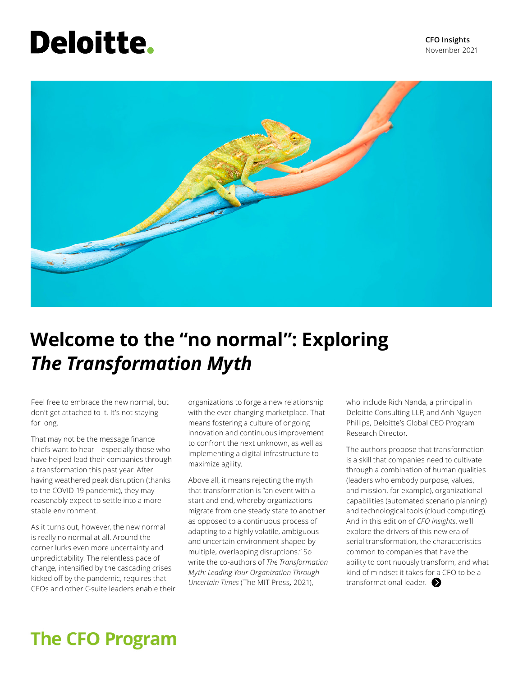# **Deloitte.**



## **Welcome to the "no normal": Exploring**  *The Transformation Myth*

Feel free to embrace the new normal, but don't get attached to it. It's not staying for long.

That may not be the message finance chiefs want to hear—especially those who have helped lead their companies through a transformation this past year. After having weathered peak disruption (thanks to the COVID-19 pandemic), they may reasonably expect to settle into a more stable environment.

As it turns out, however, the new normal is really no normal at all. Around the corner lurks even more uncertainty and unpredictability. The relentless pace of change, intensified by the cascading crises kicked off by the pandemic, requires that CFOs and other C-suite leaders enable their

organizations to forge a new relationship with the ever-changing marketplace. That means fostering a culture of ongoing innovation and continuous improvement to confront the next unknown, as well as implementing a digital infrastructure to maximize agility.

Above all, it means rejecting the myth that transformation is "an event with a start and end, whereby organizations migrate from one steady state to another as opposed to a continuous process of adapting to a highly volatile, ambiguous and uncertain environment shaped by multiple, overlapping disruptions." So write the co-authors of *The Transformation Myth: Leading Your Organization Through Uncertain Times* (The MIT Press*,* 2021),

who include Rich Nanda, a principal in Deloitte Consulting LLP, and Anh Nguyen Phillips, Deloitte's Global CEO Program Research Director.

The authors propose that transformation is a skill that companies need to cultivate through a combination of human qualities (leaders who embody purpose, values, and mission, for example), organizational capabilities (automated scenario planning) and technological tools (cloud computing). And in this edition of *CFO Insights*, we'll explore the drivers of this new era of serial transformation, the characteristics common to companies that have the ability to continuously transform, and what kind of mindset it takes for a CFO to be a transformational leader.

## **The CFO Program**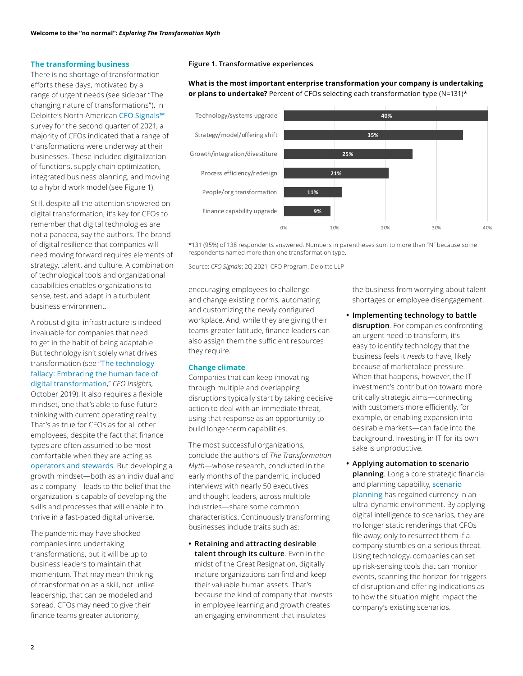### **The transforming business**

There is no shortage of transformation efforts these days, motivated by a range of urgent needs (see sidebar "The changing nature of transformations"). In Deloitte's North American [CFO Signals™](https://www2.deloitte.com/us/en/pages/finance/articles/cfos-raise-their-expectations-for-growth-across-key-metrics.html?id=us:2el:3dp:wsjspon:awa:WSJCFO:2021:WSJFY21) survey for the second quarter of 2021, a majority of CFOs indicated that a range of transformations were underway at their businesses. These included digitalization of functions, supply chain optimization, integrated business planning, and moving to a hybrid work model (see Figure 1).

Still, despite all the attention showered on digital transformation, it's key for CFOs to remember that digital technologies are not a panacea, say the authors. The brand of digital resilience that companies will need moving forward requires elements of strategy, talent, and culture. A combination of technological tools and organizational capabilities enables organizations to sense, test, and adapt in a turbulent business environment.

A robust digital infrastructure is indeed invaluable for companies that need to get in the habit of being adaptable. But technology isn't solely what drives transformation (see "[The technology](https://www2.deloitte.com/us/en/pages/finance/articles/cfo-insights-the-technology-fallacy.html)  [fallacy: Embracing the human face of](https://www2.deloitte.com/us/en/pages/finance/articles/cfo-insights-the-technology-fallacy.html)  [digital transformation](https://www2.deloitte.com/us/en/pages/finance/articles/cfo-insights-the-technology-fallacy.html)," *CFO Insights,*  October 2019). It also requires a flexible mindset, one that's able to fuse future thinking with current operating reality. That's as true for CFOs as for all other employees, despite the fact that finance types are often assumed to be most comfortable when they are acting as [operators and stewards](https://www2.deloitte.com/content/dam/Deloitte/us/Documents/finance/us-fas-cfos-play-four-critical-roles.pdf). But developing a growth mindset—both as an individual and as a company—leads to the belief that the organization is capable of developing the skills and processes that will enable it to thrive in a fast-paced digital universe.

The pandemic may have shocked companies into undertaking transformations, but it will be up to business leaders to maintain that momentum. That may mean thinking of transformation as a skill, not unlike leadership, that can be modeled and spread. CFOs may need to give their finance teams greater autonomy,

### **Figure 1. Transformative experiences**

### **What is the most important enterprise transformation your company is undertaking or plans to undertake?** Percent of CFOs selecting each transformation type (N=131)\*



\*131 (95%) of 138 respondents answered. Numbers in parentheses sum to more than "N" because some respondents named more than one transformation type.

Source: *CFO Signals*: 2Q 2021, CFO Program, Deloitte LLP

encouraging employees to challenge and change existing norms, automating and customizing the newly configured workplace. And, while they are giving their teams greater latitude, finance leaders can also assign them the sufficient resources they require.

### **Change climate**

Companies that can keep innovating through multiple and overlapping disruptions typically start by taking decisive action to deal with an immediate threat, using that response as an opportunity to build longer-term capabilities.

The most successful organizations, conclude the authors of *The Transformation Myth*—whose research, conducted in the early months of the pandemic, included interviews with nearly 50 executives and thought leaders, across multiple industries—share some common characteristics. Continuously transforming businesses include traits such as:

**• Retaining and attracting desirable talent through its culture**. Even in the midst of the Great Resignation, digitally mature organizations can find and keep their valuable human assets. That's because the kind of company that invests in employee learning and growth creates an engaging environment that insulates

the business from worrying about talent shortages or employee disengagement.

- **Implementing technology to battle disruption**. For companies confronting an urgent need to transform, it's easy to identify technology that the business feels it *needs* to have, likely because of marketplace pressure. When that happens, however, the IT investment's contribution toward more critically strategic aims—connecting with customers more efficiently, for example, or enabling expansion into desirable markets—can fade into the background. Investing in IT for its own sake is unproductive.
- **Applying automation to scenario planning**. Long a core strategic financial and planning capability, [scenario](https://www2.deloitte.com/us/en/pages/finance/articles/cfo-insights-reinventing-fpa-for-the-pandemic-and-beyond.html)  [planning](https://www2.deloitte.com/us/en/pages/finance/articles/cfo-insights-reinventing-fpa-for-the-pandemic-and-beyond.html) has regained currency in an ultra-dynamic environment. By applying digital intelligence to scenarios, they are no longer static renderings that CFOs file away, only to resurrect them if a company stumbles on a serious threat. Using technology, companies can set up risk-sensing tools that can monitor events, scanning the horizon for triggers of disruption and offering indications as to how the situation might impact the company's existing scenarios.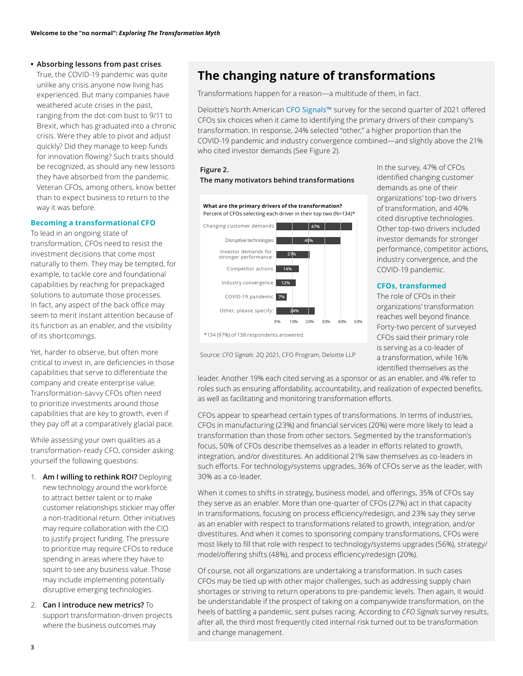### **• Absorbing lessons from past crises**.

True, the COVID-19 pandemic was quite unlike any crisis anyone now living has experienced. But many companies have weathered acute crises in the past, ranging from the dot-com bust to 9/11 to Brexit, which has graduated into a chronic crisis. Were they able to pivot and adjust quickly? Did they manage to keep funds for innovation flowing? Such traits should be recognized, as should any new lessons they have absorbed from the pandemic. Veteran CFOs, among others, know better than to expect business to return to the way it was before.

### **Becoming a transformational CFO**

To lead in an ongoing state of transformation, CFOs need to resist the investment decisions that come most naturally to them. They may be tempted, for example, to tackle core and foundational capabilities by reaching for prepackaged solutions to automate those processes. In fact, any aspect of the back office may seem to merit instant attention because of its function as an enabler, and the visibility of its shortcomings.

Yet, harder to observe, but often more critical to invest in, are deficiencies in those capabilities that serve to differentiate the company and create enterprise value. Transformation-savvy CFOs often need to prioritize investments around those capabilities that are key to growth, even if they pay off at a comparatively glacial pace.

While assessing your own qualities as a transformation-ready CFO, consider asking yourself the following questions:

- 1. **Am I willing to rethink ROI?** Deploying new technology around the workforce to attract better talent or to make customer relationships stickier may offer a non-traditional return. Other initiatives may require collaboration with the CIO to justify project funding. The pressure to prioritize may require CFOs to reduce spending in areas where they have to squint to see any business value. Those may include implementing potentially disruptive emerging technologies.
- 2. **Can I introduce new metrics?** To support transformation-driven projects where the business outcomes may

### **The changing nature of transformations**

Transformations happen for a reason—a multitude of them, in fact.

Deloitte's North American [CFO Signals™](https://www2.deloitte.com/us/en/pages/finance/articles/cfos-raise-their-expectations-for-growth-across-key-metrics.html?id=us:2el:3dp:wsjspon:awa:WSJCFO:2021:WSJFY21) survey for the second quarter of 2021 offered CFOs six choices when it came to identifying the primary drivers of their company's transformation. In response, 24% selected "other," a higher proportion than the COVID-19 pandemic and industry convergence combined—and slightly above the 21% who cited investor demands (See Figure 2).

### The many motivators behind transformations



**Figure 2.** In the survey, 47% of CFOs<br> **The many motivators behind transformations** identified changing customer demands as one of their organizations' top-two drivers Other top-two drivers included performance, competitor actions, industry convergence, and the

Forty-two percent of surveyed is serving as a co-leader of Source: *CFO Signals*: 2Q 2021, CFO Program, Deloitte LLP a transformation, while 16% identified themselves as the

leader. Another 19% each cited serving as a sponsor or as an enabler, and 4% refer to roles such as ensuring affordability, accountability, and realization of expected benefits, as well as facilitating and monitoring transformation efforts.

CFOs appear to spearhead certain types of transformations. In terms of industries, CFOs in manufacturing (23%) and financial services (20%) were more likely to lead a transformation than those from other sectors. Segmented by the transformation's focus, 50% of CFOs describe themselves as a leader in efforts related to growth, integration, and/or divestitures. An additional 21% saw themselves as co-leaders in such efforts. For technology/systems upgrades, 36% of CFOs serve as the leader, with 30% as a co-leader.

When it comes to shifts in strategy, business model, and offerings, 35% of CFOs say they serve as an enabler. More than one-quarter of CFOs (27%) act in that capacity in transformations, focusing on process efficiency/redesign, and 23% say they serve as an enabler with respect to transformations related to growth, integration, and/or divestitures. And when it comes to sponsoring company transformations, CFOs were most likely to fill that role with respect to technology/systems upgrades (56%), strategy/ model/offering shifts (48%), and process efficiency/redesign (20%).

Of course, not all organizations are undertaking a transformation. In such cases CFOs may be tied up with other major challenges, such as addressing supply chain shortages or striving to return operations to pre-pandemic levels. Then again, it would be understandable if the prospect of taking on a companywide transformation, on the heels of battling a pandemic, sent pulses racing. According to *CFO Signals* survey results, after all, the third most frequently cited internal risk turned out to be transformation and change management.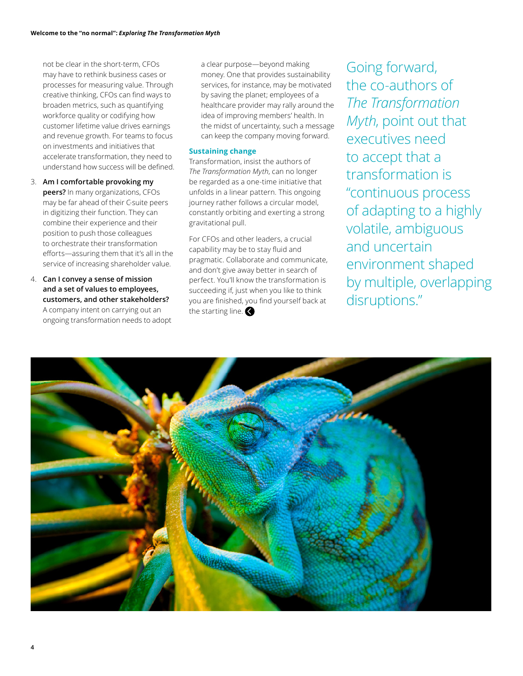not be clear in the short-term, CFOs may have to rethink business cases or processes for measuring value. Through creative thinking, CFOs can find ways to broaden metrics, such as quantifying workforce quality or codifying how customer lifetime value drives earnings and revenue growth. For teams to focus on investments and initiatives that accelerate transformation, they need to understand how success will be defined.

- 3. **Am I comfortable provoking my peers?** In many organizations, CFOs may be far ahead of their C-suite peers in digitizing their function. They can combine their experience and their position to push those colleagues to orchestrate their transformation efforts—assuring them that it's all in the service of increasing shareholder value.
- 4. **Can I convey a sense of mission and a set of values to employees, customers, and other stakeholders?**  A company intent on carrying out an ongoing transformation needs to adopt

a clear purpose—beyond making money. One that provides sustainability services, for instance, may be motivated by saving the planet; employees of a healthcare provider may rally around the idea of improving members' health. In the midst of uncertainty, such a message can keep the company moving forward.

### **Sustaining change**

Transformation, insist the authors of *The Transformation Myth*, can no longer be regarded as a one-time initiative that unfolds in a linear pattern. This ongoing journey rather follows a circular model, constantly orbiting and exerting a strong gravitational pull.

For CFOs and other leaders, a crucial capability may be to stay fluid and pragmatic. Collaborate and communicate, and don't give away better in search of perfect. You'll know the transformation is succeeding if, just when you like to think you are finished, you find yourself back at the starting line.

 by multiple, overlapping Going forward, the co-authors of *The Transformation Myth*, point out that executives need to accept that a transformation is "continuous process of adapting to a highly volatile, ambiguous and uncertain environment shaped disruptions."